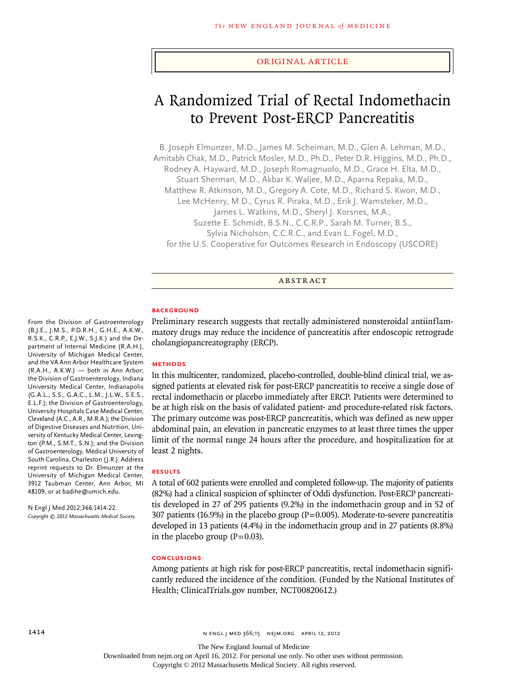#### original article

# A Randomized Trial of Rectal Indomethacin to Prevent Post-ERCP Pancreatitis

B. Joseph Elmunzer, M.D., James M. Scheiman, M.D., Glen A. Lehman, M.D., Amitabh Chak, M.D., Patrick Mosler, M.D., Ph.D., Peter D.R. Higgins, M.D., Ph.D., Rodney A. Hayward, M.D., Joseph Romagnuolo, M.D., Grace H. Elta, M.D., Stuart Sherman, M.D., Akbar K. Waljee, M.D., Aparna Repaka, M.D., Matthew R. Atkinson, M.D., Gregory A. Cote, M.D., Richard S. Kwon, M.D., Lee McHenry, M.D., Cyrus R. Piraka, M.D., Erik J. Wamsteker, M.D., James L. Watkins, M.D., Sheryl J. Korsnes, M.A., Suzette E. Schmidt, B.S.N., C.C.R.P., Sarah M. Turner, B.S., Sylvia Nicholson, C.C.R.C., and Evan L. Fogel, M.D., for the U.S. Cooperative for Outcomes Research in Endoscopy (USCORE)

#### **ABSTRACT**

## **BACKGROUND**

Preliminary research suggests that rectally administered nonsteroidal antiinflammatory drugs may reduce the incidence of pancreatitis after endoscopic retrograde cholangiopancreatography (ERCP).

#### **Methods**

In this multicenter, randomized, placebo-controlled, double-blind clinical trial, we assigned patients at elevated risk for post-ERCP pancreatitis to receive a single dose of rectal indomethacin or placebo immediately after ERCP. Patients were determined to be at high risk on the basis of validated patient- and procedure-related risk factors. The primary outcome was post-ERCP pancreatitis, which was defined as new upper abdominal pain, an elevation in pancreatic enzymes to at least three times the upper limit of the normal range 24 hours after the procedure, and hospitalization for at least 2 nights.

#### **Results**

A total of 602 patients were enrolled and completed follow-up. The majority of patients (82%) had a clinical suspicion of sphincter of Oddi dysfunction. Post-ERCP pancreatitis developed in 27 of 295 patients (9.2%) in the indomethacin group and in 52 of 307 patients (16.9%) in the placebo group ( $P=0.005$ ). Moderate-to-severe pancreatitis developed in 13 patients (4.4%) in the indomethacin group and in 27 patients (8.8%) in the placebo group  $(P=0.03)$ .

#### **Conclusions**

Among patients at high risk for post-ERCP pancreatitis, rectal indomethacin significantly reduced the incidence of the condition. (Funded by the National Institutes of Health; ClinicalTrials.gov number, NCT00820612.)

#### (B.J.E., J.M.S., P.D.R.H., G.H.E., A.K.W., R.S.K., C.R.P., E.J.W., S.J.K.) and the Department of Internal Medicine (R.A.H.), University of Michigan Medical Center, and the VA Ann Arbor Healthcare System (R.A.H., A.K.W.) — both in Ann Arbor; the Division of Gastroenterology, Indiana University Medical Center, Indianapolis (G.A.L., S.S., G.A.C., L.M., J.L.W., S.E.S., E.L.F.); the Division of Gastroenterology, University Hospitals Case Medical Center, Cleveland (A.C., A.R., M.R.A.); the Division of Digestive Diseases and Nutrition, University of Kentucky Medical Center, Lexington (P.M., S.M.T., S.N.); and the Division of Gastroenterology, Medical University of South Carolina, Charleston (J.R.). Address reprint requests to Dr. Elmunzer at the University of Michigan Medical Center, 3912 Taubman Center, Ann Arbor, MI 48109, or at badihe@umich.edu.

From the Division of Gastroenterology

N Engl J Med 2012;366:1414-22. *Copyright © 2012 Massachusetts Medical Society.*

The New England Journal of Medicine

Downloaded from nejm.org on April 16, 2012. For personal use only. No other uses without permission.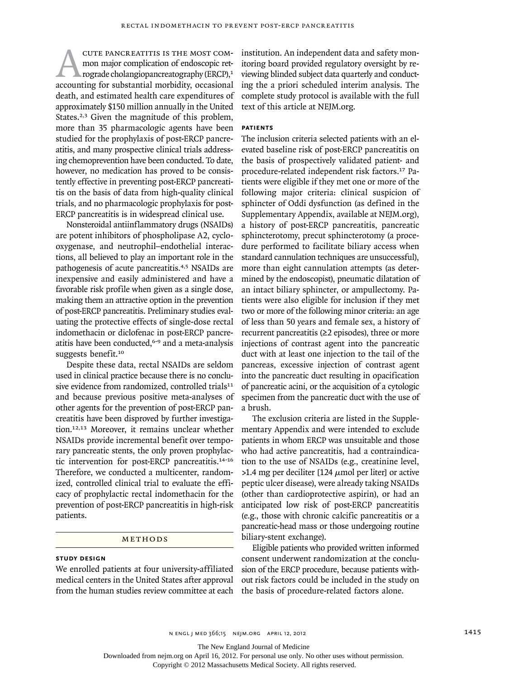CUTE PANCREATITIS IS THE MOST COMmon major complication of endoscopic retrograde cholangiopancreatography (ERCP), $1$ accounting for substantial morbidity, occasional death, and estimated health care expenditures of approximately \$150 million annually in the United States.<sup>2,3</sup> Given the magnitude of this problem, more than 35 pharmacologic agents have been studied for the prophylaxis of post-ERCP pancreatitis, and many prospective clinical trials addressing chemoprevention have been conducted. To date, however, no medication has proved to be consistently effective in preventing post-ERCP pancreatitis on the basis of data from high-quality clinical trials, and no pharmacologic prophylaxis for post-ERCP pancreatitis is in widespread clinical use.

Nonsteroidal antiinflammatory drugs (NSAIDs) are potent inhibitors of phospholipase A2, cyclooxygenase, and neutrophil–endothelial interactions, all believed to play an important role in the pathogenesis of acute pancreatitis.4,5 NSAIDs are inexpensive and easily administered and have a favorable risk profile when given as a single dose, making them an attractive option in the prevention of post-ERCP pancreatitis. Preliminary studies evaluating the protective effects of single-dose rectal indomethacin or diclofenac in post-ERCP pancreatitis have been conducted,<sup>6-9</sup> and a meta-analysis suggests benefit.<sup>10</sup>

Despite these data, rectal NSAIDs are seldom used in clinical practice because there is no conclusive evidence from randomized, controlled trials<sup>11</sup> and because previous positive meta-analyses of other agents for the prevention of post-ERCP pancreatitis have been disproved by further investigation.12,13 Moreover, it remains unclear whether NSAIDs provide incremental benefit over temporary pancreatic stents, the only proven prophylactic intervention for post-ERCP pancreatitis.14-16 Therefore, we conducted a multicenter, randomized, controlled clinical trial to evaluate the efficacy of prophylactic rectal indomethacin for the prevention of post-ERCP pancreatitis in high-risk patients.

# METHODS

### **Study Design**

We enrolled patients at four university-affiliated medical centers in the United States after approval from the human studies review committee at each institution. An independent data and safety monitoring board provided regulatory oversight by reviewing blinded subject data quarterly and conducting the a priori scheduled interim analysis. The complete study protocol is available with the full text of this article at NEJM.org.

## **Patients**

The inclusion criteria selected patients with an elevated baseline risk of post-ERCP pancreatitis on the basis of prospectively validated patient- and procedure-related independent risk factors.17 Patients were eligible if they met one or more of the following major criteria: clinical suspicion of sphincter of Oddi dysfunction (as defined in the Supplementary Appendix, available at NEJM.org), a history of post-ERCP pancreatitis, pancreatic sphincterotomy, precut sphincterotomy (a procedure performed to facilitate biliary access when standard cannulation techniques are unsuccessful), more than eight cannulation attempts (as determined by the endoscopist), pneumatic dilatation of an intact biliary sphincter, or ampullectomy. Patients were also eligible for inclusion if they met two or more of the following minor criteria: an age of less than 50 years and female sex, a history of recurrent pancreatitis (≥2 episodes), three or more injections of contrast agent into the pancreatic duct with at least one injection to the tail of the pancreas, excessive injection of contrast agent into the pancreatic duct resulting in opacification of pancreatic acini, or the acquisition of a cytologic specimen from the pancreatic duct with the use of a brush.

The exclusion criteria are listed in the Supplementary Appendix and were intended to exclude patients in whom ERCP was unsuitable and those who had active pancreatitis, had a contraindication to the use of NSAIDs (e.g., creatinine level,  $>1.4$  mg per deciliter [124  $\mu$ mol per liter] or active peptic ulcer disease), were already taking NSAIDs (other than cardioprotective aspirin), or had an anticipated low risk of post-ERCP pancreatitis (e.g., those with chronic calcific pancreatitis or a pancreatic-head mass or those undergoing routine biliary-stent exchange).

Eligible patients who provided written informed consent underwent randomization at the conclusion of the ERCP procedure, because patients without risk factors could be included in the study on the basis of procedure-related factors alone.

The New England Journal of Medicine

Downloaded from nejm.org on April 16, 2012. For personal use only. No other uses without permission.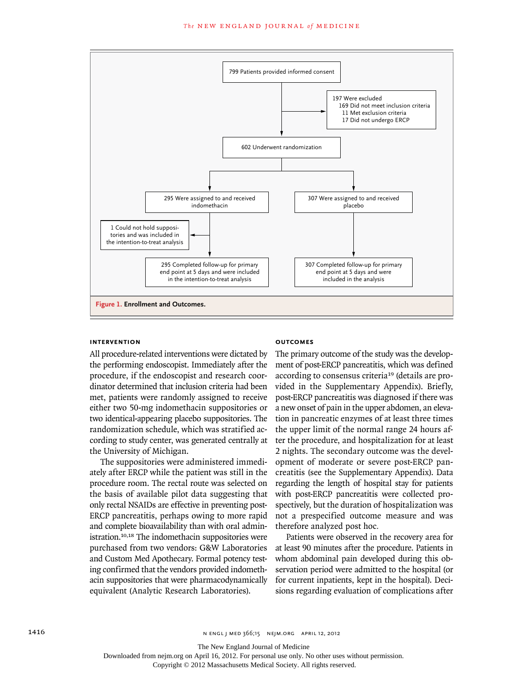

#### **Intervention**

All procedure-related interventions were dictated by the performing endoscopist. Immediately after the procedure, if the endoscopist and research coordinator determined that inclusion criteria had been met, patients were randomly assigned to receive either two 50-mg indomethacin suppositories or two identical-appearing placebo suppositories. The randomization schedule, which was stratified according to study center, was generated centrally at the University of Michigan.

The suppositories were administered immediately after ERCP while the patient was still in the procedure room. The rectal route was selected on the basis of available pilot data suggesting that only rectal NSAIDs are effective in preventing post-ERCP pancreatitis, perhaps owing to more rapid and complete bioavailability than with oral administration.10,18 The indomethacin suppositories were purchased from two vendors: G&W Laboratories and Custom Med Apothecary. Formal potency testing confirmed that the vendors provided indomethacin suppositories that were pharmacodynamically equivalent (Analytic Research Laboratories).

#### **Outcomes**

The primary outcome of the study was the development of post-ERCP pancreatitis, which was defined according to consensus criteria<sup>19</sup> (details are provided in the Supplementary Appendix). Briefly, post-ERCP pancreatitis was diagnosed if there was a new onset of pain in the upper abdomen, an elevation in pancreatic enzymes of at least three times the upper limit of the normal range 24 hours after the procedure, and hospitalization for at least 2 nights. The secondary outcome was the development of moderate or severe post-ERCP pancreatitis (see the Supplementary Appendix). Data regarding the length of hospital stay for patients with post-ERCP pancreatitis were collected prospectively, but the duration of hospitalization was not a prespecified outcome measure and was therefore analyzed post hoc*.*

Patients were observed in the recovery area for at least 90 minutes after the procedure. Patients in whom abdominal pain developed during this observation period were admitted to the hospital (or for current inpatients, kept in the hospital). Decisions regarding evaluation of complications after

The New England Journal of Medicine

Downloaded from nejm.org on April 16, 2012. For personal use only. No other uses without permission.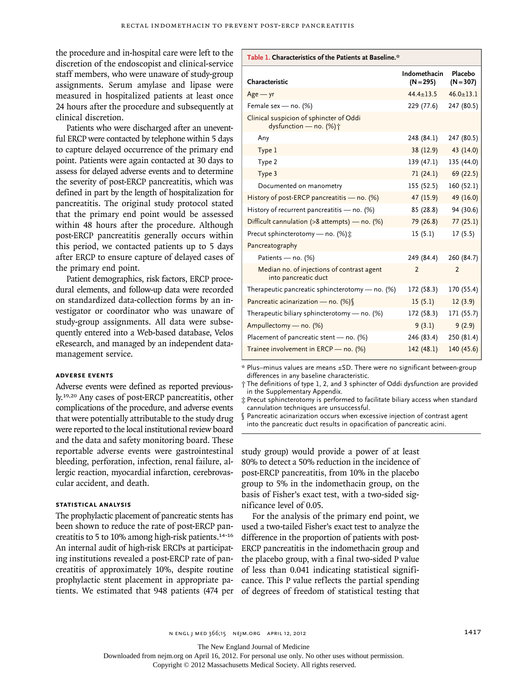the procedure and in-hospital care were left to the discretion of the endoscopist and clinical-service staff members, who were unaware of study-group assignments. Serum amylase and lipase were measured in hospitalized patients at least once 24 hours after the procedure and subsequently at clinical discretion.

Patients who were discharged after an uneventful ERCP were contacted by telephone within 5 days to capture delayed occurrence of the primary end point. Patients were again contacted at 30 days to assess for delayed adverse events and to determine the severity of post-ERCP pancreatitis, which was defined in part by the length of hospitalization for pancreatitis. The original study protocol stated that the primary end point would be assessed within 48 hours after the procedure. Although post-ERCP pancreatitis generally occurs within this period, we contacted patients up to 5 days after ERCP to ensure capture of delayed cases of the primary end point.

Patient demographics, risk factors, ERCP procedural elements, and follow-up data were recorded on standardized data-collection forms by an investigator or coordinator who was unaware of study-group assignments. All data were subsequently entered into a Web-based database, Velos eResearch, and managed by an independent datamanagement service.

#### **Adverse Events**

Adverse events were defined as reported previously.19,20 Any cases of post-ERCP pancreatitis, other complications of the procedure, and adverse events that were potentially attributable to the study drug were reported to the local institutional review board and the data and safety monitoring board. These reportable adverse events were gastrointestinal bleeding, perforation, infection, renal failure, allergic reaction, myocardial infarction, cerebrovascular accident, and death.

## **Statistical Analysis**

The prophylactic placement of pancreatic stents has been shown to reduce the rate of post-ERCP pancreatitis to 5 to 10% among high-risk patients.14-16 An internal audit of high-risk ERCPs at participating institutions revealed a post-ERCP rate of pancreatitis of approximately 10%, despite routine prophylactic stent placement in appropriate patients. We estimated that 948 patients (474 per of degrees of freedom of statistical testing that

| Characteristic                                                     | Indomethacin<br>$(N = 295)$ | Placebo<br>$(N = 307)$ |
|--------------------------------------------------------------------|-----------------------------|------------------------|
| $Age - yr$                                                         | $44.4 \pm 13.5$             | $46.0 \pm 13.1$        |
| Female sex - no. $(\%)$                                            | 229 (77.6)                  | 247 (80.5)             |
| Clinical suspicion of sphincter of Oddi<br>dysfunction - no. (%) + |                             |                        |
| Any                                                                | 248 (84.1)                  | 247 (80.5)             |
| Type 1                                                             | 38 (12.9)                   | 43 (14.0)              |
| Type 2                                                             | 139 (47.1)                  | 135 (44.0)             |
| Type 3                                                             | 71(24.1)                    | 69 (22.5)              |
| Documented on manometry                                            | 155 (52.5)                  | 160 (52.1)             |
| History of post-ERCP pancreatitis - no. (%)                        | 47 (15.9)                   | 49 (16.0)              |
| History of recurrent pancreatitis - no. (%)                        | 85 (28.8)                   | 94 (30.6)              |
| Difficult cannulation (>8 attempts) - no. (%)                      | 79 (26.8)                   | 77(25.1)               |
| Precut sphincterotomy - no. (%) :                                  | 15(5.1)                     | 17(5.5)                |
| Pancreatography                                                    |                             |                        |
| Patients - no. (%)                                                 | 249 (84.4)                  | 260 (84.7)             |
| Median no. of injections of contrast agent<br>into pancreatic duct | $\overline{\phantom{0}}$    | $\overline{2}$         |
| Therapeutic pancreatic sphincterotomy — no. $(\%)$                 | 172 (58.3)                  | 170 (55.4)             |
| Pancreatic acinarization - no. (%) §                               | 15(5.1)                     | 12(3.9)                |
| Therapeutic biliary sphincterotomy $-$ no. (%)                     | 172 (58.3)                  | 171 (55.7)             |
| Ampullectomy - no. (%)                                             | 9(3.1)                      | 9(2.9)                 |
| Placement of pancreatic stent $-$ no. (%)                          | 246 (83.4)                  | 250 (81.4)             |
| Trainee involvement in ERCP - no. (%)                              | 142(48.1)                   | 140 (45.6)             |

**Table 1. Characteristics of the Patients at Baseline.\***

\* Plus–minus values are means ±SD. There were no significant between-group differences in any baseline characteristic.

† The definitions of type 1, 2, and 3 sphincter of Oddi dysfunction are provided in the Supplementary Appendix.

‡ Precut sphincterotomy is performed to facilitate biliary access when standard cannulation techniques are unsuccessful.

§ Pancreatic acinarization occurs when excessive injection of contrast agent into the pancreatic duct results in opacification of pancreatic acini.

study group) would provide a power of at least 80% to detect a 50% reduction in the incidence of post-ERCP pancreatitis, from 10% in the placebo group to 5% in the indomethacin group, on the basis of Fisher's exact test, with a two-sided significance level of 0.05.

For the analysis of the primary end point, we used a two-tailed Fisher's exact test to analyze the difference in the proportion of patients with post-ERCP pancreatitis in the indomethacin group and the placebo group, with a final two-sided P value of less than 0.041 indicating statistical significance. This P value reflects the partial spending

n engl j med 366;15 nejm.org april 12, 2012 1417

The New England Journal of Medicine

Downloaded from nejm.org on April 16, 2012. For personal use only. No other uses without permission.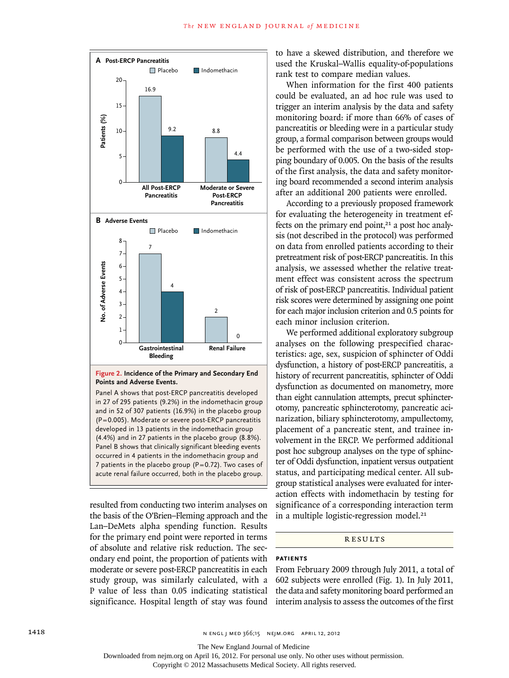

### **Figure 2. Incidence of the Primary and Secondary End Points and Adverse Events.**

Panel A shows that post-ERCP pancreatitis developed in 27 of 295 patients (9.2%) in the indomethacin group and in 52 of 307 patients (16.9%) in the placebo group (P=0.005). Moderate or severe post-ERCP pancreatitis developed in 13 patients in the indomethacin group (4.4%) and in 27 patients in the placebo group (8.8%). Panel B shows that clinically significant bleeding events occurred in 4 patients in the indomethacin group and 7 patients in the placebo group ( $P=0.72$ ). Two cases of acute renal failure occurred, both in the placebo group.

resulted from conducting two interim analyses on the basis of the O'Brien–Fleming approach and the Lan–DeMets alpha spending function. Results for the primary end point were reported in terms of absolute and relative risk reduction. The secondary end point, the proportion of patients with moderate or severe post-ERCP pancreatitis in each study group, was similarly calculated, with a P value of less than 0.05 indicating statistical significance. Hospital length of stay was found to have a skewed distribution, and therefore we used the Kruskal–Wallis equality-of-populations rank test to compare median values.

When information for the first 400 patients could be evaluated, an ad hoc rule was used to trigger an interim analysis by the data and safety monitoring board: if more than 66% of cases of pancreatitis or bleeding were in a particular study group, a formal comparison between groups would be performed with the use of a two-sided stopping boundary of 0.005. On the basis of the results of the first analysis, the data and safety monitoring board recommended a second interim analysis after an additional 200 patients were enrolled.

According to a previously proposed framework for evaluating the heterogeneity in treatment effects on the primary end point, $21$  a post hoc analysis (not described in the protocol) was performed on data from enrolled patients according to their pretreatment risk of post-ERCP pancreatitis. In this analysis, we assessed whether the relative treatment effect was consistent across the spectrum of risk of post-ERCP pancreatitis. Individual patient risk scores were determined by assigning one point for each major inclusion criterion and 0.5 points for each minor inclusion criterion.

We performed additional exploratory subgroup analyses on the following prespecified characteristics: age, sex, suspicion of sphincter of Oddi dysfunction, a history of post-ERCP pancreatitis, a history of recurrent pancreatitis, sphincter of Oddi dysfunction as documented on manometry, more than eight cannulation attempts, precut sphincterotomy, pancreatic sphincterotomy, pancreatic acinarization, biliary sphincterotomy, ampullectomy, placement of a pancreatic stent, and trainee involvement in the ERCP. We performed additional post hoc subgroup analyses on the type of sphincter of Oddi dysfunction, inpatient versus outpatient status, and participating medical center. All subgroup statistical analyses were evaluated for interaction effects with indomethacin by testing for significance of a corresponding interaction term in a multiple logistic-regression model. $21$ 

## **RESULTS**

### **Patients**

From February 2009 through July 2011, a total of 602 subjects were enrolled (Fig. 1). In July 2011, the data and safety monitoring board performed an interim analysis to assess the outcomes of the first

1418 **N ENGL | MED 366;15 NEIM.ORG APRIL 12, 2012** 

The New England Journal of Medicine

Downloaded from nejm.org on April 16, 2012. For personal use only. No other uses without permission.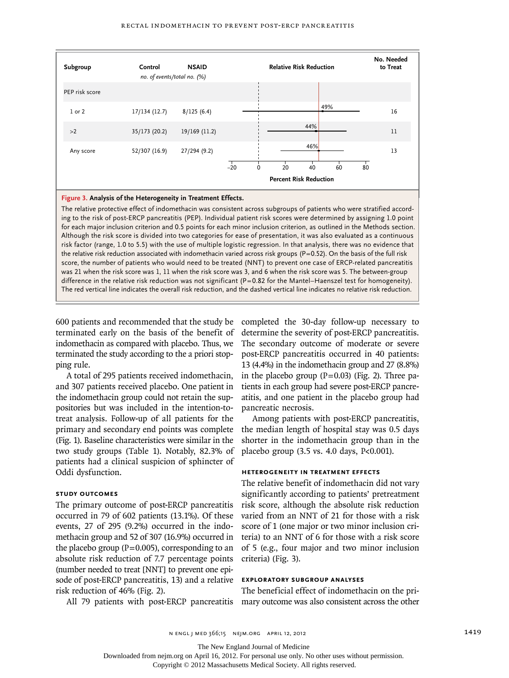#### Rectal Indomethacin to Prevent Post-ERCP Pancreatitis



### **Figure 3. Analysis of the Heterogeneity in Treatment Effects.**

The relative protective effect of indomethacin was consistent across subgroups of patients who were stratified according to the risk of post-ERCP pancreatitis (PEP). Individual patient risk scores were determined by assigning 1.0 point for each major inclusion criterion and 0.5 points for each minor inclusion criterion, as outlined in the Methods section. Although the risk score is divided into two categories for ease of presentation, it was also evaluated as a continuous risk factor (range, 1.0 to 5.5) with the use of multiple logistic regression. In that analysis, there was no evidence that the relative risk reduction associated with indomethacin varied across risk groups (P=0.52). On the basis of the full risk score, the number of patients who would need to be treated (NNT) to prevent one case of ERCP-related pancreatitis was 21 when the risk score was 1, 11 when the risk score was 3, and 6 when the risk score was 5. The between-group difference in the relative risk reduction was not significant (P=0.82 for the Mantel–Haenszel test for homogeneity). The red vertical line indicates the overall risk reduction, and the dashed vertical line indicates no relative risk reduction.

600 patients and recommended that the study be terminated early on the basis of the benefit of indomethacin as compared with placebo. Thus, we terminated the study according to the a priori stopping rule.

A total of 295 patients received indomethacin, and 307 patients received placebo. One patient in the indomethacin group could not retain the suppositories but was included in the intention-totreat analysis. Follow-up of all patients for the primary and secondary end points was complete (Fig. 1). Baseline characteristics were similar in the two study groups (Table 1). Notably, 82.3% of patients had a clinical suspicion of sphincter of Oddi dysfunction.

#### **Study Outcomes**

The primary outcome of post-ERCP pancreatitis occurred in 79 of 602 patients (13.1%). Of these events, 27 of 295 (9.2%) occurred in the indomethacin group and 52 of 307 (16.9%) occurred in the placebo group ( $P=0.005$ ), corresponding to an absolute risk reduction of 7.7 percentage points (number needed to treat [NNT] to prevent one episode of post-ERCP pancreatitis, 13) and a relative risk reduction of 46% (Fig. 2).

tients in each group had severe post-ERCP pancreatitis, and one patient in the placebo group had pancreatic necrosis. Among patients with post-ERCP pancreatitis, the median length of hospital stay was 0.5 days shorter in the indomethacin group than in the placebo group (3.5 vs. 4.0 days, P<0.001).

completed the 30-day follow-up necessary to determine the severity of post-ERCP pancreatitis. The secondary outcome of moderate or severe post-ERCP pancreatitis occurred in 40 patients: 13 (4.4%) in the indomethacin group and 27 (8.8%) in the placebo group  $(P=0.03)$  (Fig. 2). Three pa-

## **Heterogeneity in Treatment Effects**

The relative benefit of indomethacin did not vary significantly according to patients' pretreatment risk score, although the absolute risk reduction varied from an NNT of 21 for those with a risk score of 1 (one major or two minor inclusion criteria) to an NNT of 6 for those with a risk score of 5 (e.g., four major and two minor inclusion criteria) (Fig. 3).

## **Exploratory Subgroup Analyses**

The beneficial effect of indomethacin on the primary outcome was also consistent across the other

All 79 patients with post-ERCP pancreatitis

The New England Journal of Medicine

Downloaded from nejm.org on April 16, 2012. For personal use only. No other uses without permission.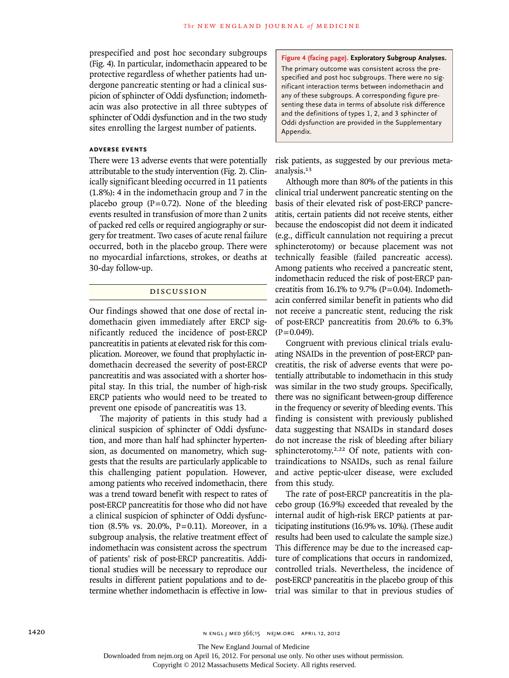prespecified and post hoc secondary subgroups (Fig. 4). In particular, indomethacin appeared to be protective regardless of whether patients had undergone pancreatic stenting or had a clinical suspicion of sphincter of Oddi dysfunction; indomethacin was also protective in all three subtypes of sphincter of Oddi dysfunction and in the two study sites enrolling the largest number of patients.

## **Adverse Events**

There were 13 adverse events that were potentially attributable to the study intervention (Fig. 2). Clinically significant bleeding occurred in 11 patients (1.8%): 4 in the indomethacin group and 7 in the placebo group ( $P=0.72$ ). None of the bleeding events resulted in transfusion of more than 2 units of packed red cells or required angiography or surgery for treatment. Two cases of acute renal failure occurred, both in the placebo group. There were no myocardial infarctions, strokes, or deaths at 30-day follow-up.

#### Discussion

Our findings showed that one dose of rectal indomethacin given immediately after ERCP significantly reduced the incidence of post-ERCP pancreatitis in patients at elevated risk for this complication. Moreover, we found that prophylactic indomethacin decreased the severity of post-ERCP pancreatitis and was associated with a shorter hospital stay. In this trial, the number of high-risk ERCP patients who would need to be treated to prevent one episode of pancreatitis was 13.

The majority of patients in this study had a clinical suspicion of sphincter of Oddi dysfunction, and more than half had sphincter hypertension, as documented on manometry, which suggests that the results are particularly applicable to this challenging patient population. However, among patients who received indomethacin, there was a trend toward benefit with respect to rates of post-ERCP pancreatitis for those who did not have a clinical suspicion of sphincter of Oddi dysfunction (8.5% vs. 20.0%, P=0.11). Moreover, in a subgroup analysis, the relative treatment effect of indomethacin was consistent across the spectrum of patients' risk of post-ERCP pancreatitis. Additional studies will be necessary to reproduce our results in different patient populations and to determine whether indomethacin is effective in low-

**Figure 4 (facing page). Exploratory Subgroup Analyses.** The primary outcome was consistent across the prespecified and post hoc subgroups. There were no significant interaction terms between indomethacin and any of these subgroups. A corresponding figure presenting these data in terms of absolute risk difference and the definitions of types 1, 2, and 3 sphincter of Oddi dysfunction are provided in the Supplementary Appendix.

risk patients, as suggested by our previous metaanalysis.<sup>13</sup>

Although more than 80% of the patients in this clinical trial underwent pancreatic stenting on the basis of their elevated risk of post-ERCP pancreatitis, certain patients did not receive stents, either because the endoscopist did not deem it indicated (e.g., difficult cannulation not requiring a precut sphincterotomy) or because placement was not technically feasible (failed pancreatic access). Among patients who received a pancreatic stent, indomethacin reduced the risk of post-ERCP pancreatitis from 16.1% to 9.7% ( $P=0.04$ ). Indomethacin conferred similar benefit in patients who did not receive a pancreatic stent, reducing the risk of post-ERCP pancreatitis from 20.6% to 6.3%  $(P=0.049)$ .

Congruent with previous clinical trials evaluating NSAIDs in the prevention of post-ERCP pancreatitis, the risk of adverse events that were potentially attributable to indomethacin in this study was similar in the two study groups. Specifically, there was no significant between-group difference in the frequency or severity of bleeding events. This finding is consistent with previously published data suggesting that NSAIDs in standard doses do not increase the risk of bleeding after biliary sphincterotomy.<sup>2,22</sup> Of note, patients with contraindications to NSAIDs, such as renal failure and active peptic-ulcer disease, were excluded from this study.

The rate of post-ERCP pancreatitis in the placebo group (16.9%) exceeded that revealed by the internal audit of high-risk ERCP patients at participating institutions (16.9% vs. 10%). (These audit results had been used to calculate the sample size.) This difference may be due to the increased capture of complications that occurs in randomized, controlled trials. Nevertheless, the incidence of post-ERCP pancreatitis in the placebo group of this trial was similar to that in previous studies of

The New England Journal of Medicine

Downloaded from nejm.org on April 16, 2012. For personal use only. No other uses without permission.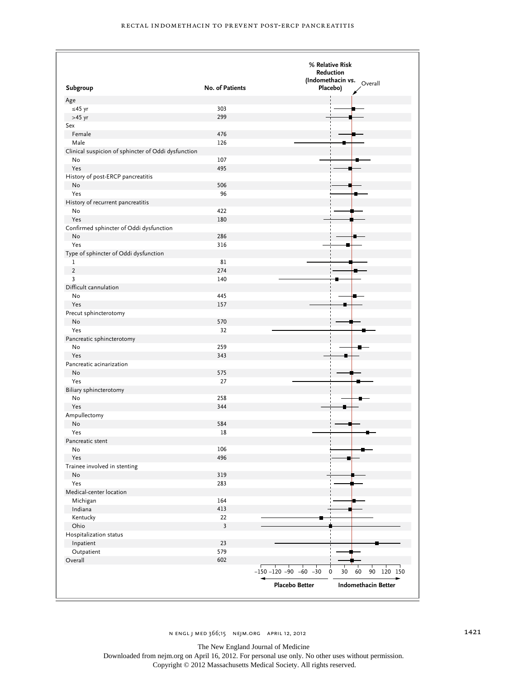|                                                     | % Relative Risk         |                                                            |
|-----------------------------------------------------|-------------------------|------------------------------------------------------------|
|                                                     |                         | Reduction                                                  |
| Subgroup                                            | No. of Patients         | (Indomethacin vs.<br>Overall<br>Placebo)                   |
| Age                                                 |                         |                                                            |
| $≤45$ yr                                            | 303                     |                                                            |
| $>45$ yr                                            | 299                     |                                                            |
| Sex                                                 |                         |                                                            |
| Female                                              | 476                     |                                                            |
| Male                                                | 126                     |                                                            |
| Clinical suspicion of sphincter of Oddi dysfunction |                         |                                                            |
| No                                                  | 107                     |                                                            |
| Yes                                                 | 495                     |                                                            |
| History of post-ERCP pancreatitis                   |                         |                                                            |
| No                                                  | 506                     |                                                            |
| Yes                                                 | 96                      |                                                            |
| History of recurrent pancreatitis                   |                         |                                                            |
| No                                                  | 422                     |                                                            |
| Yes                                                 | 180                     |                                                            |
| Confirmed sphincter of Oddi dysfunction             |                         |                                                            |
| No                                                  | 286                     |                                                            |
| Yes                                                 | 316                     |                                                            |
| Type of sphincter of Oddi dysfunction               |                         |                                                            |
| 1                                                   | 81                      |                                                            |
| $\sqrt{2}$                                          | 274                     |                                                            |
| $\overline{\mathbf{3}}$                             | 140                     |                                                            |
| Difficult cannulation                               |                         |                                                            |
|                                                     |                         |                                                            |
| No                                                  | 445                     |                                                            |
| Yes                                                 | 157                     |                                                            |
| Precut sphincterotomy                               |                         |                                                            |
| No                                                  | 570                     |                                                            |
| Yes                                                 | 32                      |                                                            |
| Pancreatic sphincterotomy                           |                         |                                                            |
| No                                                  | 259                     |                                                            |
| Yes                                                 | 343                     |                                                            |
| Pancreatic acinarization                            |                         |                                                            |
| No                                                  | 575                     |                                                            |
| Yes                                                 | 27                      |                                                            |
| Biliary sphincterotomy                              |                         |                                                            |
| No                                                  | 258                     |                                                            |
| Yes                                                 | 344                     |                                                            |
| Ampullectomy                                        |                         |                                                            |
| No                                                  | 584                     |                                                            |
| Yes                                                 | 18                      |                                                            |
| Pancreatic stent                                    |                         |                                                            |
| No                                                  | 106                     |                                                            |
| Yes                                                 | 496                     |                                                            |
| Trainee involved in stenting                        |                         |                                                            |
| No                                                  | 319                     |                                                            |
| Yes                                                 | 283                     |                                                            |
| Medical-center location                             |                         |                                                            |
| Michigan                                            | 164                     |                                                            |
| Indiana                                             | 413                     |                                                            |
| Kentucky                                            | 22                      |                                                            |
| Ohio                                                | $\overline{\mathbf{3}}$ |                                                            |
| Hospitalization status                              |                         |                                                            |
| Inpatient                                           | 23                      |                                                            |
| Outpatient                                          | 579                     |                                                            |
| Overall                                             | 602                     |                                                            |
|                                                     |                         | 60<br>$-150 - 120 - 90 - 60 - 30$ 0<br>30<br>90<br>120 150 |
|                                                     |                         |                                                            |

n engl j med 366;15 nejm.org april 12, 2012 1421

The New England Journal of Medicine

Downloaded from nejm.org on April 16, 2012. For personal use only. No other uses without permission.